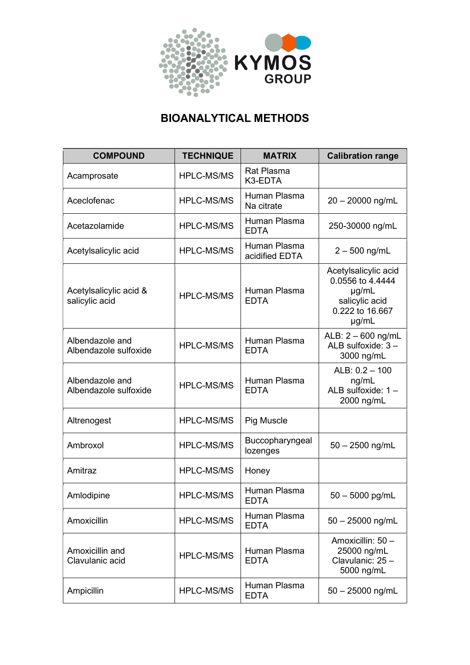

## BIOANALYTICAL METHODS

| <b>COMPOUND</b>                          | <b>TECHNIQUE</b>  | <b>MATRIX</b>                  | <b>Calibration range</b>                                                                             |
|------------------------------------------|-------------------|--------------------------------|------------------------------------------------------------------------------------------------------|
| Acamprosate                              | <b>HPLC-MS/MS</b> | <b>Rat Plasma</b><br>K3-EDTA   |                                                                                                      |
| Aceclofenac                              | <b>HPLC-MS/MS</b> | Human Plasma<br>Na citrate     | $20 - 20000$ ng/mL                                                                                   |
| Acetazolamide                            | <b>HPLC-MS/MS</b> | Human Plasma<br><b>EDTA</b>    | 250-30000 ng/mL                                                                                      |
| Acetylsalicylic acid                     | <b>HPLC-MS/MS</b> | Human Plasma<br>acidified EDTA | $2 - 500$ ng/mL                                                                                      |
| Acetylsalicylic acid &<br>salicylic acid | <b>HPLC-MS/MS</b> | Human Plasma<br><b>EDTA</b>    | Acetylsalicylic acid<br>0.0556 to 4.4444<br>$\mu$ g/mL<br>salicylic acid<br>0.222 to 16.667<br>µg/mL |
| Albendazole and<br>Albendazole sulfoxide | <b>HPLC-MS/MS</b> | Human Plasma<br><b>EDTA</b>    | ALB: $2 - 600$ ng/mL<br>ALB sulfoxide: $3 -$<br>3000 ng/mL                                           |
| Albendazole and<br>Albendazole sulfoxide | <b>HPLC-MS/MS</b> | Human Plasma<br><b>EDTA</b>    | ALB: $0.2 - 100$<br>ng/mL<br>ALB sulfoxide: 1 -<br>2000 ng/mL                                        |
| Altrenogest                              | <b>HPLC-MS/MS</b> | <b>Pig Muscle</b>              |                                                                                                      |
| Ambroxol                                 | <b>HPLC-MS/MS</b> | Buccopharyngeal<br>lozenges    | $50 - 2500$ ng/mL                                                                                    |
| Amitraz                                  | <b>HPLC-MS/MS</b> | Honey                          |                                                                                                      |
| Amlodipine                               | <b>HPLC-MS/MS</b> | Human Plasma<br>EDTA           | $50 - 5000$ pg/mL                                                                                    |
| Amoxicillin                              | HPLC-MS/MS        | Human Plasma<br><b>EDTA</b>    | $50 - 25000$ ng/mL                                                                                   |
| Amoxicillin and<br>Clavulanic acid       | <b>HPLC-MS/MS</b> | Human Plasma<br><b>EDTA</b>    | Amoxicillin: 50 -<br>25000 ng/mL<br>Clavulanic: 25 -<br>5000 ng/mL                                   |
| Ampicillin                               | <b>HPLC-MS/MS</b> | Human Plasma<br><b>EDTA</b>    | $50 - 25000$ ng/mL                                                                                   |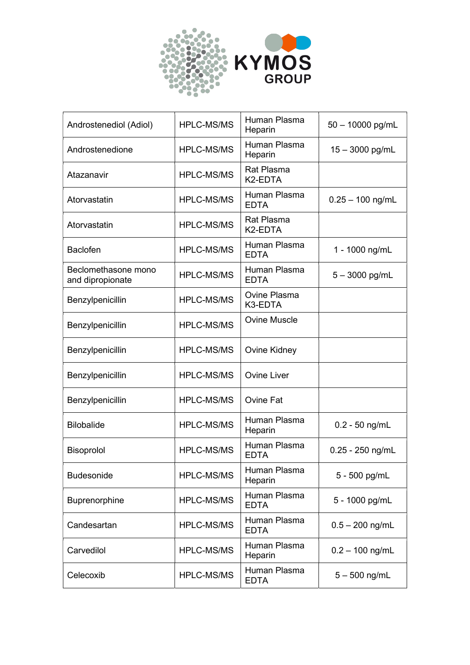

| Androstenediol (Adiol)                  | <b>HPLC-MS/MS</b> | Human Plasma<br>Heparin      | $50 - 10000$ pg/mL |
|-----------------------------------------|-------------------|------------------------------|--------------------|
| Androstenedione                         | <b>HPLC-MS/MS</b> | Human Plasma<br>Heparin      | 15 - 3000 pg/mL    |
| Atazanavir                              | <b>HPLC-MS/MS</b> | <b>Rat Plasma</b><br>K2-EDTA |                    |
| Atorvastatin                            | <b>HPLC-MS/MS</b> | Human Plasma<br><b>EDTA</b>  | $0.25 - 100$ ng/mL |
| Atorvastatin                            | <b>HPLC-MS/MS</b> | <b>Rat Plasma</b><br>K2-EDTA |                    |
| <b>Baclofen</b>                         | <b>HPLC-MS/MS</b> | Human Plasma<br><b>EDTA</b>  | 1 - 1000 ng/mL     |
| Beclomethasone mono<br>and dipropionate | <b>HPLC-MS/MS</b> | Human Plasma<br><b>EDTA</b>  | $5 - 3000$ pg/mL   |
| Benzylpenicillin                        | <b>HPLC-MS/MS</b> | Ovine Plasma<br>K3-EDTA      |                    |
| Benzylpenicillin                        | <b>HPLC-MS/MS</b> | <b>Ovine Muscle</b>          |                    |
| Benzylpenicillin                        | <b>HPLC-MS/MS</b> | Ovine Kidney                 |                    |
| Benzylpenicillin                        | <b>HPLC-MS/MS</b> | <b>Ovine Liver</b>           |                    |
| Benzylpenicillin                        | <b>HPLC-MS/MS</b> | Ovine Fat                    |                    |
| <b>Bilobalide</b>                       | <b>HPLC-MS/MS</b> | Human Plasma<br>Heparin      | $0.2 - 50$ ng/mL   |
| Bisoprolol                              | <b>HPLC-MS/MS</b> | Human Plasma<br><b>EDTA</b>  | $0.25 - 250$ ng/mL |
| <b>Budesonide</b>                       | <b>HPLC-MS/MS</b> | Human Plasma<br>Heparin      | 5 - 500 pg/mL      |
| Buprenorphine                           | <b>HPLC-MS/MS</b> | Human Plasma<br><b>EDTA</b>  | 5 - 1000 pg/mL     |
| Candesartan                             | <b>HPLC-MS/MS</b> | Human Plasma<br><b>EDTA</b>  | $0.5 - 200$ ng/mL  |
| Carvedilol                              | <b>HPLC-MS/MS</b> | Human Plasma<br>Heparin      | $0.2 - 100$ ng/mL  |
| Celecoxib                               | HPLC-MS/MS        | Human Plasma<br><b>EDTA</b>  | $5 - 500$ ng/mL    |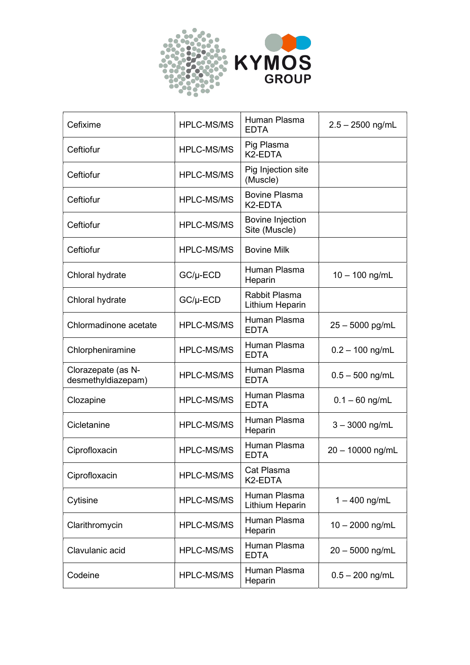

| Cefixime                                 | <b>HPLC-MS/MS</b> | Human Plasma<br><b>EDTA</b>                  | $2.5 - 2500$ ng/mL |
|------------------------------------------|-------------------|----------------------------------------------|--------------------|
| Ceftiofur                                | <b>HPLC-MS/MS</b> | Pig Plasma<br>K2-EDTA                        |                    |
| Ceftiofur                                | <b>HPLC-MS/MS</b> | Pig Injection site<br>(Muscle)               |                    |
| Ceftiofur                                | <b>HPLC-MS/MS</b> | <b>Bovine Plasma</b><br>K <sub>2</sub> -EDTA |                    |
| Ceftiofur                                | <b>HPLC-MS/MS</b> | <b>Bovine Injection</b><br>Site (Muscle)     |                    |
| Ceftiofur                                | <b>HPLC-MS/MS</b> | <b>Bovine Milk</b>                           |                    |
| Chloral hydrate                          | $GC/\mu$ -ECD     | Human Plasma<br>Heparin                      | $10 - 100$ ng/mL   |
| Chloral hydrate                          | $GC/\mu$ -ECD     | Rabbit Plasma<br>Lithium Heparin             |                    |
| Chlormadinone acetate                    | <b>HPLC-MS/MS</b> | Human Plasma<br><b>EDTA</b>                  | $25 - 5000$ pg/mL  |
| Chlorpheniramine                         | <b>HPLC-MS/MS</b> | Human Plasma<br><b>EDTA</b>                  | $0.2 - 100$ ng/mL  |
| Clorazepate (as N-<br>desmethyldiazepam) | <b>HPLC-MS/MS</b> | Human Plasma<br><b>EDTA</b>                  | $0.5 - 500$ ng/mL  |
| Clozapine                                | <b>HPLC-MS/MS</b> | Human Plasma<br><b>EDTA</b>                  | $0.1 - 60$ ng/mL   |
| Cicletanine                              | <b>HPLC-MS/MS</b> | Human Plasma<br>Heparin                      | $3 - 3000$ ng/mL   |
| Ciprofloxacin                            | <b>HPLC-MS/MS</b> | Human Plasma<br><b>EDTA</b>                  | 20 - 10000 ng/mL   |
| Ciprofloxacin                            | <b>HPLC-MS/MS</b> | Cat Plasma<br>K2-EDTA                        |                    |
| Cytisine                                 | <b>HPLC-MS/MS</b> | Human Plasma<br>Lithium Heparin              | $1 - 400$ ng/mL    |
| Clarithromycin                           | <b>HPLC-MS/MS</b> | Human Plasma<br>Heparin                      | $10 - 2000$ ng/mL  |
| Clavulanic acid                          | <b>HPLC-MS/MS</b> | Human Plasma<br><b>EDTA</b>                  | $20 - 5000$ ng/mL  |
| Codeine                                  | HPLC-MS/MS        | Human Plasma<br>Heparin                      | $0.5 - 200$ ng/mL  |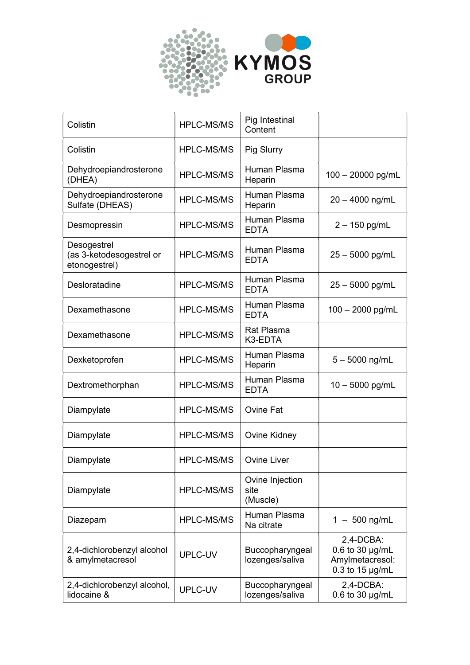

| Colistin                                                 | <b>HPLC-MS/MS</b> | Pig Intestinal<br>Content           |                                                                                  |
|----------------------------------------------------------|-------------------|-------------------------------------|----------------------------------------------------------------------------------|
| Colistin                                                 | <b>HPLC-MS/MS</b> | Pig Slurry                          |                                                                                  |
| Dehydroepiandrosterone<br>(DHEA)                         | <b>HPLC-MS/MS</b> | Human Plasma<br>Heparin             | $100 - 20000$ pg/mL                                                              |
| Dehydroepiandrosterone<br>Sulfate (DHEAS)                | <b>HPLC-MS/MS</b> | Human Plasma<br>Heparin             | $20 - 4000$ ng/mL                                                                |
| Desmopressin                                             | <b>HPLC-MS/MS</b> | Human Plasma<br><b>EDTA</b>         | $2 - 150$ pg/mL                                                                  |
| Desogestrel<br>(as 3-ketodesogestrel or<br>etonogestrel) | <b>HPLC-MS/MS</b> | Human Plasma<br><b>EDTA</b>         | $25 - 5000$ pg/mL                                                                |
| Desloratadine                                            | <b>HPLC-MS/MS</b> | Human Plasma<br><b>EDTA</b>         | $25 - 5000$ pg/mL                                                                |
| Dexamethasone                                            | <b>HPLC-MS/MS</b> | Human Plasma<br><b>EDTA</b>         | $100 - 2000$ pg/mL                                                               |
| Dexamethasone                                            | <b>HPLC-MS/MS</b> | <b>Rat Plasma</b><br>K3-EDTA        |                                                                                  |
| Dexketoprofen                                            | <b>HPLC-MS/MS</b> | Human Plasma<br>Heparin             | $5 - 5000$ ng/mL                                                                 |
| Dextromethorphan                                         | <b>HPLC-MS/MS</b> | Human Plasma<br><b>EDTA</b>         | $10 - 5000$ pg/mL                                                                |
| Diampylate                                               | <b>HPLC-MS/MS</b> | <b>Ovine Fat</b>                    |                                                                                  |
| Diampylate                                               | <b>HPLC-MS/MS</b> | Ovine Kidney                        |                                                                                  |
| Diampylate                                               | <b>HPLC-MS/MS</b> | Ovine Liver                         |                                                                                  |
| Diampylate                                               | <b>HPLC-MS/MS</b> | Ovine Injection<br>site<br>(Muscle) |                                                                                  |
| Diazepam                                                 | <b>HPLC-MS/MS</b> | Human Plasma<br>Na citrate          | $1 - 500$ ng/mL                                                                  |
| 2,4-dichlorobenzyl alcohol<br>& amylmetacresol           | UPLC-UV           | Buccopharyngeal<br>lozenges/saliva  | 2,4-DCBA:<br>$0.6$ to 30 $\mu$ g/mL<br>Amylmetacresol:<br>$0.3$ to 15 $\mu$ g/mL |
| 2,4-dichlorobenzyl alcohol,<br>lidocaine &               | UPLC-UV           | Buccopharyngeal<br>lozenges/saliva  | 2,4-DCBA:<br>0.6 to 30 µg/mL                                                     |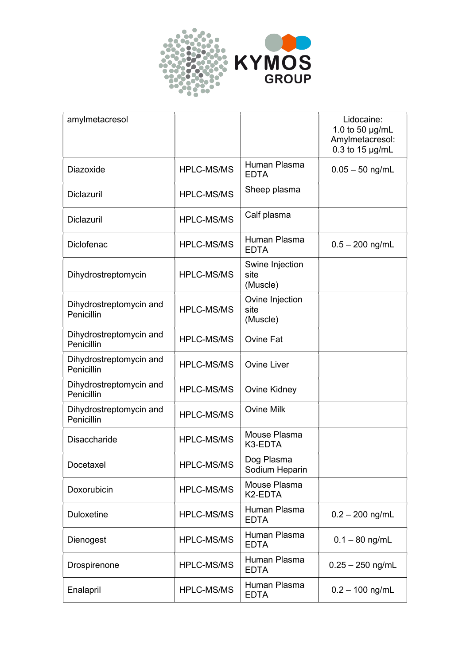

| amylmetacresol                        |                   |                                     | Lidocaine:<br>1.0 to 50 µg/mL<br>Amylmetacresol:<br>$0.3$ to 15 $\mu$ g/mL |
|---------------------------------------|-------------------|-------------------------------------|----------------------------------------------------------------------------|
| Diazoxide                             | <b>HPLC-MS/MS</b> | Human Plasma<br><b>EDTA</b>         | $0.05 - 50$ ng/mL                                                          |
| <b>Diclazuril</b>                     | <b>HPLC-MS/MS</b> | Sheep plasma                        |                                                                            |
| <b>Diclazuril</b>                     | <b>HPLC-MS/MS</b> | Calf plasma                         |                                                                            |
| <b>Diclofenac</b>                     | <b>HPLC-MS/MS</b> | Human Plasma<br><b>EDTA</b>         | $0.5 - 200$ ng/mL                                                          |
| Dihydrostreptomycin                   | <b>HPLC-MS/MS</b> | Swine Injection<br>site<br>(Muscle) |                                                                            |
| Dihydrostreptomycin and<br>Penicillin | <b>HPLC-MS/MS</b> | Ovine Injection<br>site<br>(Muscle) |                                                                            |
| Dihydrostreptomycin and<br>Penicillin | <b>HPLC-MS/MS</b> | <b>Ovine Fat</b>                    |                                                                            |
| Dihydrostreptomycin and<br>Penicillin | <b>HPLC-MS/MS</b> | <b>Ovine Liver</b>                  |                                                                            |
| Dihydrostreptomycin and<br>Penicillin | <b>HPLC-MS/MS</b> | Ovine Kidney                        |                                                                            |
| Dihydrostreptomycin and<br>Penicillin | <b>HPLC-MS/MS</b> | <b>Ovine Milk</b>                   |                                                                            |
| <b>Disaccharide</b>                   | <b>HPLC-MS/MS</b> | Mouse Plasma<br>K3-EDTA             |                                                                            |
| Docetaxel                             | <b>HPLC-MS/MS</b> | Dog Plasma<br>Sodium Heparin        |                                                                            |
| Doxorubicin                           | HPLC-MS/MS        | Mouse Plasma<br>K2-EDTA             |                                                                            |
| <b>Duloxetine</b>                     | <b>HPLC-MS/MS</b> | Human Plasma<br><b>EDTA</b>         | $0.2 - 200$ ng/mL                                                          |
| Dienogest                             | <b>HPLC-MS/MS</b> | Human Plasma<br><b>EDTA</b>         | $0.1 - 80$ ng/mL                                                           |
| Drospirenone                          | <b>HPLC-MS/MS</b> | Human Plasma<br><b>EDTA</b>         | $0.25 - 250$ ng/mL                                                         |
| Enalapril                             | <b>HPLC-MS/MS</b> | Human Plasma<br><b>EDTA</b>         | $0.2 - 100$ ng/mL                                                          |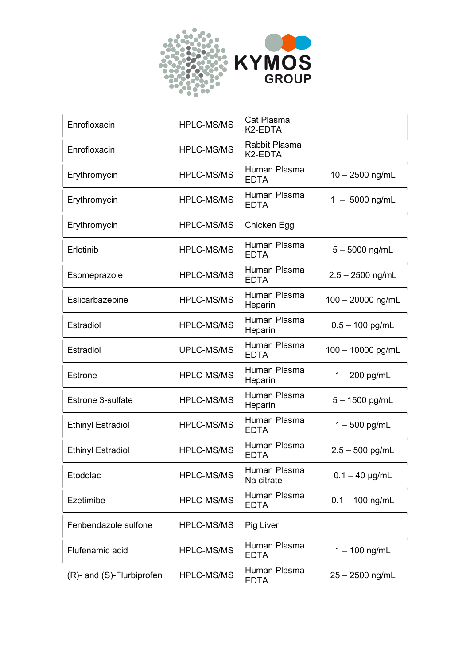

| Enrofloxacin              | <b>HPLC-MS/MS</b> | Cat Plasma<br>K <sub>2</sub> -EDTA    |                     |
|---------------------------|-------------------|---------------------------------------|---------------------|
| Enrofloxacin              | <b>HPLC-MS/MS</b> | Rabbit Plasma<br>K <sub>2</sub> -EDTA |                     |
| Erythromycin              | <b>HPLC-MS/MS</b> | Human Plasma<br><b>EDTA</b>           | $10 - 2500$ ng/mL   |
| Erythromycin              | <b>HPLC-MS/MS</b> | Human Plasma<br><b>EDTA</b>           | $1 - 5000$ ng/mL    |
| Erythromycin              | <b>HPLC-MS/MS</b> | Chicken Egg                           |                     |
| Erlotinib                 | <b>HPLC-MS/MS</b> | Human Plasma<br><b>EDTA</b>           | $5 - 5000$ ng/mL    |
| Esomeprazole              | <b>HPLC-MS/MS</b> | Human Plasma<br><b>EDTA</b>           | $2.5 - 2500$ ng/mL  |
| Eslicarbazepine           | <b>HPLC-MS/MS</b> | Human Plasma<br>Heparin               | $100 - 20000$ ng/mL |
| <b>Estradiol</b>          | <b>HPLC-MS/MS</b> | Human Plasma<br>Heparin               | $0.5 - 100$ pg/mL   |
| Estradiol                 | <b>UPLC-MS/MS</b> | Human Plasma<br><b>EDTA</b>           | 100 - 10000 pg/mL   |
| <b>Estrone</b>            | <b>HPLC-MS/MS</b> | Human Plasma<br>Heparin               | $1 - 200$ pg/mL     |
| <b>Estrone 3-sulfate</b>  | <b>HPLC-MS/MS</b> | Human Plasma<br>Heparin               | $5 - 1500$ pg/mL    |
| <b>Ethinyl Estradiol</b>  | <b>HPLC-MS/MS</b> | Human Plasma<br><b>EDTA</b>           | $1 - 500$ pg/mL     |
| <b>Ethinyl Estradiol</b>  | <b>HPLC-MS/MS</b> | Human Plasma<br><b>EDTA</b>           | $2.5 - 500$ pg/mL   |
| Etodolac                  | <b>HPLC-MS/MS</b> | Human Plasma<br>Na citrate            | $0.1 - 40$ µg/mL    |
| Ezetimibe                 | <b>HPLC-MS/MS</b> | Human Plasma<br><b>EDTA</b>           | $0.1 - 100$ ng/mL   |
| Fenbendazole sulfone      | <b>HPLC-MS/MS</b> | Pig Liver                             |                     |
| Flufenamic acid           | <b>HPLC-MS/MS</b> | Human Plasma<br><b>EDTA</b>           | $1 - 100$ ng/mL     |
| (R)- and (S)-Flurbiprofen | HPLC-MS/MS        | Human Plasma<br><b>EDTA</b>           | $25 - 2500$ ng/mL   |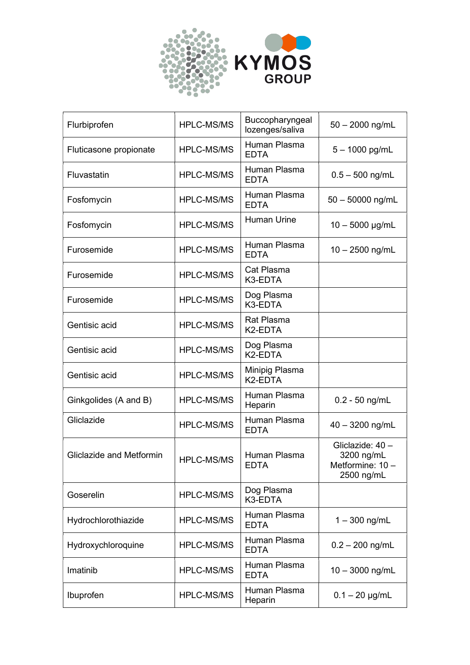

| Flurbiprofen             | <b>HPLC-MS/MS</b> | Buccopharyngeal<br>lozenges/saliva     | $50 - 2000$ ng/mL                                              |
|--------------------------|-------------------|----------------------------------------|----------------------------------------------------------------|
| Fluticasone propionate   | <b>HPLC-MS/MS</b> | Human Plasma<br><b>EDTA</b>            | 5 - 1000 pg/mL                                                 |
| Fluvastatin              | <b>HPLC-MS/MS</b> | Human Plasma<br><b>EDTA</b>            | $0.5 - 500$ ng/mL                                              |
| Fosfomycin               | <b>HPLC-MS/MS</b> | Human Plasma<br><b>EDTA</b>            | $50 - 50000$ ng/mL                                             |
| Fosfomycin               | <b>HPLC-MS/MS</b> | Human Urine                            | $10 - 5000$ µg/mL                                              |
| Furosemide               | <b>HPLC-MS/MS</b> | Human Plasma<br><b>EDTA</b>            | $10 - 2500$ ng/mL                                              |
| Furosemide               | <b>HPLC-MS/MS</b> | Cat Plasma<br>K3-EDTA                  |                                                                |
| Furosemide               | <b>HPLC-MS/MS</b> | Dog Plasma<br>K3-EDTA                  |                                                                |
| Gentisic acid            | <b>HPLC-MS/MS</b> | Rat Plasma<br>K2-EDTA                  |                                                                |
| Gentisic acid            | <b>HPLC-MS/MS</b> | Dog Plasma<br>K2-EDTA                  |                                                                |
| Gentisic acid            | <b>HPLC-MS/MS</b> | Minipig Plasma<br>K <sub>2</sub> -EDTA |                                                                |
| Ginkgolides (A and B)    | <b>HPLC-MS/MS</b> | Human Plasma<br>Heparin                | $0.2 - 50$ ng/mL                                               |
| Gliclazide               | <b>HPLC-MS/MS</b> | Human Plasma<br><b>EDTA</b>            | 40 - 3200 ng/mL                                                |
| Gliclazide and Metformin | <b>HPLC-MS/MS</b> | Human Plasma<br><b>EDTA</b>            | Gliclazide: 40 -<br>3200 ng/mL<br>Metformine: 10<br>2500 ng/mL |
| Goserelin                | <b>HPLC-MS/MS</b> | Dog Plasma<br>K3-EDTA                  |                                                                |
| Hydrochlorothiazide      | <b>HPLC-MS/MS</b> | Human Plasma<br><b>EDTA</b>            | $1 - 300$ ng/mL                                                |
| Hydroxychloroquine       | <b>HPLC-MS/MS</b> | Human Plasma<br><b>EDTA</b>            | $0.2 - 200$ ng/mL                                              |
| Imatinib                 | <b>HPLC-MS/MS</b> | Human Plasma<br><b>EDTA</b>            | $10 - 3000$ ng/mL                                              |
| Ibuprofen                | HPLC-MS/MS        | Human Plasma<br>Heparin                | $0.1 - 20$ µg/mL                                               |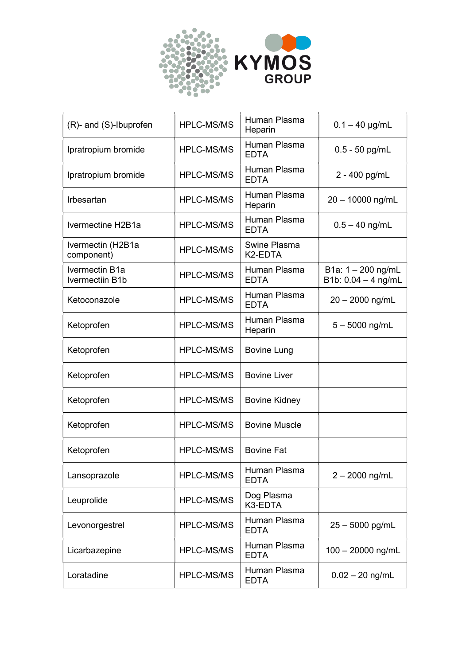

| (R)- and (S)-Ibuprofen            | <b>HPLC-MS/MS</b> | Human Plasma<br>Heparin              | $0.1 - 40$ µg/mL                              |
|-----------------------------------|-------------------|--------------------------------------|-----------------------------------------------|
| Ipratropium bromide               | <b>HPLC-MS/MS</b> | Human Plasma<br><b>EDTA</b>          | $0.5 - 50$ pg/mL                              |
| Ipratropium bromide               | <b>HPLC-MS/MS</b> | Human Plasma<br><b>EDTA</b>          | 2 - 400 pg/mL                                 |
| Irbesartan                        | <b>HPLC-MS/MS</b> | Human Plasma<br>Heparin              | 20 - 10000 ng/mL                              |
| Ivermectine H2B1a                 | <b>HPLC-MS/MS</b> | Human Plasma<br><b>EDTA</b>          | $0.5 - 40$ ng/mL                              |
| Ivermectin (H2B1a<br>component)   | <b>HPLC-MS/MS</b> | Swine Plasma<br>K <sub>2</sub> -EDTA |                                               |
| Ivermectin B1a<br>Ivermectiin B1b | <b>HPLC-MS/MS</b> | Human Plasma<br><b>EDTA</b>          | B1a: $1 - 200$ ng/mL<br>B1b: $0.04 - 4$ ng/mL |
| Ketoconazole                      | <b>HPLC-MS/MS</b> | Human Plasma<br><b>EDTA</b>          | $20 - 2000$ ng/mL                             |
| Ketoprofen                        | <b>HPLC-MS/MS</b> | Human Plasma<br>Heparin              | $5 - 5000$ ng/mL                              |
| Ketoprofen                        | <b>HPLC-MS/MS</b> | <b>Bovine Lung</b>                   |                                               |
| Ketoprofen                        | <b>HPLC-MS/MS</b> | <b>Bovine Liver</b>                  |                                               |
| Ketoprofen                        | <b>HPLC-MS/MS</b> | <b>Bovine Kidney</b>                 |                                               |
| Ketoprofen                        | <b>HPLC-MS/MS</b> | <b>Bovine Muscle</b>                 |                                               |
| Ketoprofen                        | <b>HPLC-MS/MS</b> | <b>Bovine Fat</b>                    |                                               |
| Lansoprazole                      | <b>HPLC-MS/MS</b> | Human Plasma<br><b>EDTA</b>          | $2 - 2000$ ng/mL                              |
| Leuprolide                        | HPLC-MS/MS        | Dog Plasma<br>K3-EDTA                |                                               |
| Levonorgestrel                    | <b>HPLC-MS/MS</b> | Human Plasma<br><b>EDTA</b>          | $25 - 5000$ pg/mL                             |
| Licarbazepine                     | <b>HPLC-MS/MS</b> | Human Plasma<br><b>EDTA</b>          | $100 - 20000$ ng/mL                           |
| Loratadine                        | HPLC-MS/MS        | Human Plasma<br><b>EDTA</b>          | $0.02 - 20$ ng/mL                             |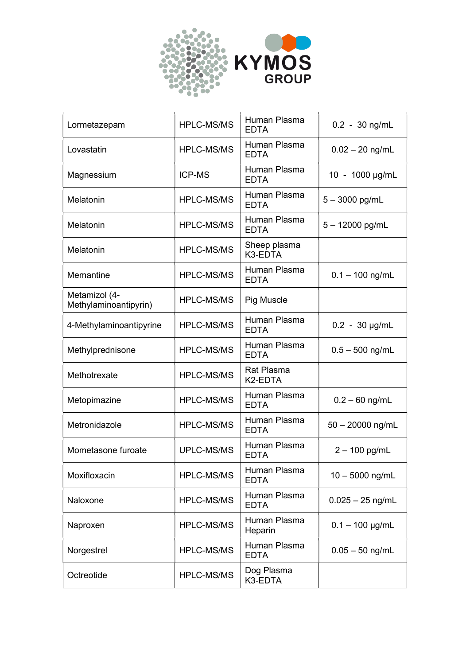

| Lormetazepam                           | <b>HPLC-MS/MS</b> | Human Plasma<br><b>EDTA</b>  | $0.2 - 30$ ng/mL   |
|----------------------------------------|-------------------|------------------------------|--------------------|
| Lovastatin                             | <b>HPLC-MS/MS</b> | Human Plasma<br><b>EDTA</b>  | $0.02 - 20$ ng/mL  |
| Magnessium                             | <b>ICP-MS</b>     | Human Plasma<br><b>EDTA</b>  | 10 - 1000 µg/mL    |
| Melatonin                              | <b>HPLC-MS/MS</b> | Human Plasma<br><b>EDTA</b>  | $5 - 3000$ pg/mL   |
| Melatonin                              | <b>HPLC-MS/MS</b> | Human Plasma<br><b>EDTA</b>  | $5 - 12000$ pg/mL  |
| Melatonin                              | <b>HPLC-MS/MS</b> | Sheep plasma<br>K3-EDTA      |                    |
| Memantine                              | <b>HPLC-MS/MS</b> | Human Plasma<br><b>EDTA</b>  | $0.1 - 100$ ng/mL  |
| Metamizol (4-<br>Methylaminoantipyrin) | <b>HPLC-MS/MS</b> | Pig Muscle                   |                    |
| 4-Methylaminoantipyrine                | <b>HPLC-MS/MS</b> | Human Plasma<br><b>EDTA</b>  | $0.2 - 30$ µg/mL   |
| Methylprednisone                       | <b>HPLC-MS/MS</b> | Human Plasma<br><b>EDTA</b>  | $0.5 - 500$ ng/mL  |
| Methotrexate                           | <b>HPLC-MS/MS</b> | <b>Rat Plasma</b><br>K2-EDTA |                    |
| Metopimazine                           | <b>HPLC-MS/MS</b> | Human Plasma<br><b>EDTA</b>  | $0.2 - 60$ ng/mL   |
| Metronidazole                          | <b>HPLC-MS/MS</b> | Human Plasma<br><b>EDTA</b>  | $50 - 20000$ ng/mL |
| Mometasone furoate                     | UPLC-MS/MS        | Human Plasma<br><b>EDTA</b>  | $2 - 100$ pg/mL    |
| Moxifloxacin                           | <b>HPLC-MS/MS</b> | Human Plasma<br><b>EDTA</b>  | $10 - 5000$ ng/mL  |
| Naloxone                               | <b>HPLC-MS/MS</b> | Human Plasma<br><b>EDTA</b>  | $0.025 - 25$ ng/mL |
| Naproxen                               | <b>HPLC-MS/MS</b> | Human Plasma<br>Heparin      | $0.1 - 100$ µg/mL  |
| Norgestrel                             | <b>HPLC-MS/MS</b> | Human Plasma<br><b>EDTA</b>  | $0.05 - 50$ ng/mL  |
| Octreotide                             | HPLC-MS/MS        | Dog Plasma<br>K3-EDTA        |                    |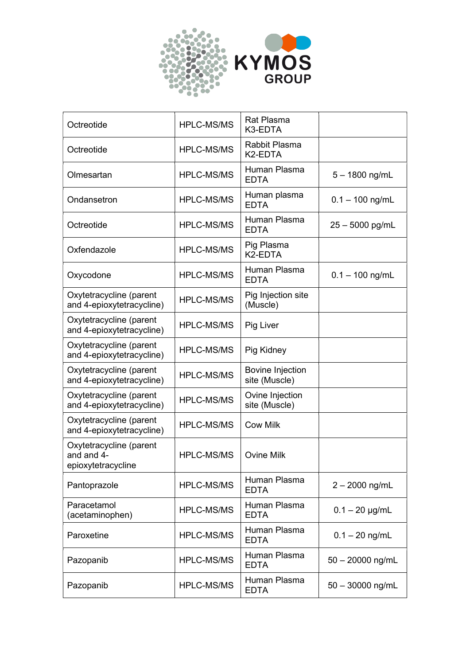

| Octreotide                                                  | <b>HPLC-MS/MS</b> | <b>Rat Plasma</b><br>K3-EDTA             |                    |
|-------------------------------------------------------------|-------------------|------------------------------------------|--------------------|
| Octreotide                                                  | <b>HPLC-MS/MS</b> | Rabbit Plasma<br>K2-EDTA                 |                    |
| Olmesartan                                                  | <b>HPLC-MS/MS</b> | Human Plasma<br><b>EDTA</b>              | $5 - 1800$ ng/mL   |
| Ondansetron                                                 | <b>HPLC-MS/MS</b> | Human plasma<br><b>EDTA</b>              | $0.1 - 100$ ng/mL  |
| Octreotide                                                  | <b>HPLC-MS/MS</b> | Human Plasma<br><b>EDTA</b>              | 25 - 5000 pg/mL    |
| Oxfendazole                                                 | <b>HPLC-MS/MS</b> | Pig Plasma<br>K2-EDTA                    |                    |
| Oxycodone                                                   | <b>HPLC-MS/MS</b> | Human Plasma<br><b>EDTA</b>              | $0.1 - 100$ ng/mL  |
| Oxytetracycline (parent<br>and 4-epioxytetracycline)        | <b>HPLC-MS/MS</b> | Pig Injection site<br>(Muscle)           |                    |
| Oxytetracycline (parent<br>and 4-epioxytetracycline)        | <b>HPLC-MS/MS</b> | Pig Liver                                |                    |
| Oxytetracycline (parent<br>and 4-epioxytetracycline)        | <b>HPLC-MS/MS</b> | Pig Kidney                               |                    |
| Oxytetracycline (parent<br>and 4-epioxytetracycline)        | <b>HPLC-MS/MS</b> | <b>Bovine Injection</b><br>site (Muscle) |                    |
| Oxytetracycline (parent<br>and 4-epioxytetracycline)        | <b>HPLC-MS/MS</b> | Ovine Injection<br>site (Muscle)         |                    |
| Oxytetracycline (parent<br>and 4-epioxytetracycline)        | <b>HPLC-MS/MS</b> | <b>Cow Milk</b>                          |                    |
| Oxytetracycline (parent<br>and and 4-<br>epioxytetracycline | <b>HPLC-MS/MS</b> | <b>Ovine Milk</b>                        |                    |
| Pantoprazole                                                | <b>HPLC-MS/MS</b> | Human Plasma<br><b>EDTA</b>              | $2 - 2000$ ng/mL   |
| Paracetamol<br>(acetaminophen)                              | <b>HPLC-MS/MS</b> | Human Plasma<br><b>EDTA</b>              | $0.1 - 20$ µg/mL   |
| Paroxetine                                                  | <b>HPLC-MS/MS</b> | Human Plasma<br><b>EDTA</b>              | $0.1 - 20$ ng/mL   |
| Pazopanib                                                   | <b>HPLC-MS/MS</b> | Human Plasma<br><b>EDTA</b>              | $50 - 20000$ ng/mL |
| Pazopanib                                                   | <b>HPLC-MS/MS</b> | Human Plasma<br><b>EDTA</b>              | $50 - 30000$ ng/mL |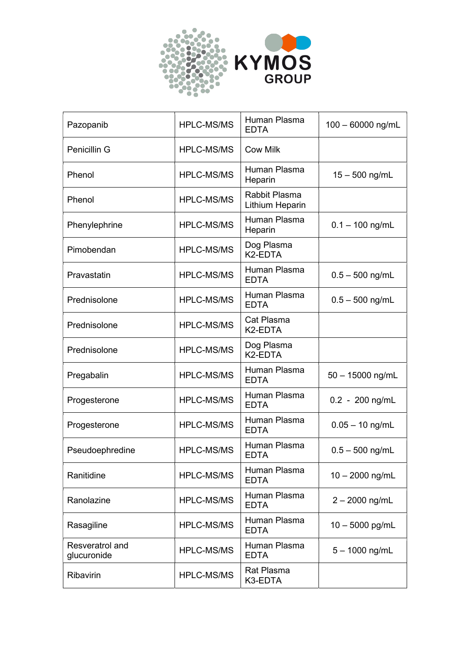

| Pazopanib                      | <b>HPLC-MS/MS</b> | Human Plasma<br><b>EDTA</b>        | $100 - 60000$ ng/mL |
|--------------------------------|-------------------|------------------------------------|---------------------|
| Penicillin G                   | <b>HPLC-MS/MS</b> | <b>Cow Milk</b>                    |                     |
| Phenol                         | <b>HPLC-MS/MS</b> | Human Plasma<br>Heparin            | $15 - 500$ ng/mL    |
| Phenol                         | <b>HPLC-MS/MS</b> | Rabbit Plasma<br>Lithium Heparin   |                     |
| Phenylephrine                  | <b>HPLC-MS/MS</b> | Human Plasma<br>Heparin            | $0.1 - 100$ ng/mL   |
| Pimobendan                     | <b>HPLC-MS/MS</b> | Dog Plasma<br>K2-EDTA              |                     |
| Pravastatin                    | <b>HPLC-MS/MS</b> | Human Plasma<br><b>EDTA</b>        | $0.5 - 500$ ng/mL   |
| Prednisolone                   | <b>HPLC-MS/MS</b> | Human Plasma<br><b>EDTA</b>        | $0.5 - 500$ ng/mL   |
| Prednisolone                   | <b>HPLC-MS/MS</b> | Cat Plasma<br>K <sub>2</sub> -EDTA |                     |
| Prednisolone                   | <b>HPLC-MS/MS</b> | Dog Plasma<br>K2-EDTA              |                     |
| Pregabalin                     | <b>HPLC-MS/MS</b> | Human Plasma<br><b>EDTA</b>        | $50 - 15000$ ng/mL  |
| Progesterone                   | <b>HPLC-MS/MS</b> | Human Plasma<br><b>EDTA</b>        | $0.2 - 200$ ng/mL   |
| Progesterone                   | <b>HPLC-MS/MS</b> | Human Plasma<br><b>EDTA</b>        | $0.05 - 10$ ng/mL   |
| Pseudoephredine                | <b>HPLC-MS/MS</b> | Human Plasma<br><b>EDTA</b>        | $0.5 - 500$ ng/mL   |
| Ranitidine                     | <b>HPLC-MS/MS</b> | Human Plasma<br><b>EDTA</b>        | $10 - 2000$ ng/mL   |
| Ranolazine                     | <b>HPLC-MS/MS</b> | Human Plasma<br><b>EDTA</b>        | $2 - 2000$ ng/mL    |
| Rasagiline                     | <b>HPLC-MS/MS</b> | Human Plasma<br><b>EDTA</b>        | $10 - 5000$ pg/mL   |
| Resveratrol and<br>glucuronide | <b>HPLC-MS/MS</b> | Human Plasma<br><b>EDTA</b>        | $5 - 1000$ ng/mL    |
| Ribavirin                      | HPLC-MS/MS        | <b>Rat Plasma</b><br>K3-EDTA       |                     |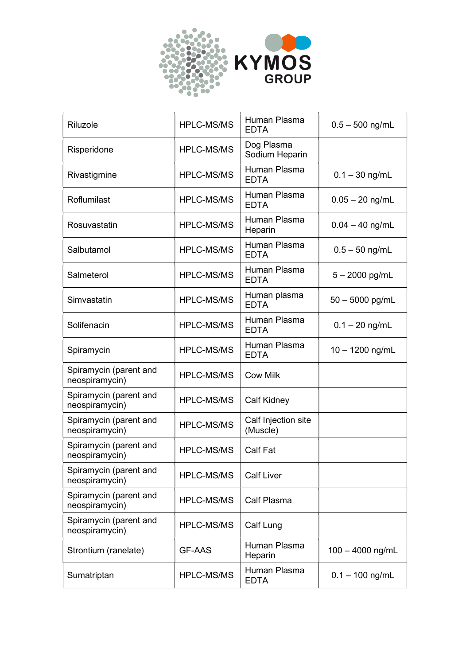

| Riluzole                                 | <b>HPLC-MS/MS</b> | Human Plasma<br><b>EDTA</b>     | $0.5 - 500$ ng/mL  |
|------------------------------------------|-------------------|---------------------------------|--------------------|
| Risperidone                              | <b>HPLC-MS/MS</b> | Dog Plasma<br>Sodium Heparin    |                    |
| Rivastigmine                             | <b>HPLC-MS/MS</b> | Human Plasma<br><b>EDTA</b>     | $0.1 - 30$ ng/mL   |
| Roflumilast                              | <b>HPLC-MS/MS</b> | Human Plasma<br><b>EDTA</b>     | $0.05 - 20$ ng/mL  |
| Rosuvastatin                             | <b>HPLC-MS/MS</b> | Human Plasma<br>Heparin         | $0.04 - 40$ ng/mL  |
| Salbutamol                               | <b>HPLC-MS/MS</b> | Human Plasma<br><b>EDTA</b>     | $0.5 - 50$ ng/mL   |
| Salmeterol                               | <b>HPLC-MS/MS</b> | Human Plasma<br><b>EDTA</b>     | $5 - 2000$ pg/mL   |
| Simvastatin                              | <b>HPLC-MS/MS</b> | Human plasma<br><b>EDTA</b>     | 50 - 5000 pg/mL    |
| Solifenacin                              | <b>HPLC-MS/MS</b> | Human Plasma<br><b>EDTA</b>     | $0.1 - 20$ ng/mL   |
| Spiramycin                               | <b>HPLC-MS/MS</b> | Human Plasma<br><b>EDTA</b>     | $10 - 1200$ ng/mL  |
| Spiramycin (parent and<br>neospiramycin) | <b>HPLC-MS/MS</b> | <b>Cow Milk</b>                 |                    |
| Spiramycin (parent and<br>neospiramycin) | <b>HPLC-MS/MS</b> | <b>Calf Kidney</b>              |                    |
| Spiramycin (parent and<br>neospiramycin) | <b>HPLC-MS/MS</b> | Calf Injection site<br>(Muscle) |                    |
| Spiramycin (parent and<br>neospiramycin) | HPLC-MS/MS        | <b>Calf Fat</b>                 |                    |
| Spiramycin (parent and<br>neospiramycin) | <b>HPLC-MS/MS</b> | <b>Calf Liver</b>               |                    |
| Spiramycin (parent and<br>neospiramycin) | <b>HPLC-MS/MS</b> | Calf Plasma                     |                    |
| Spiramycin (parent and<br>neospiramycin) | <b>HPLC-MS/MS</b> | Calf Lung                       |                    |
| Strontium (ranelate)                     | <b>GF-AAS</b>     | Human Plasma<br>Heparin         | $100 - 4000$ ng/mL |
| Sumatriptan                              | <b>HPLC-MS/MS</b> | Human Plasma<br><b>EDTA</b>     | $0.1 - 100$ ng/mL  |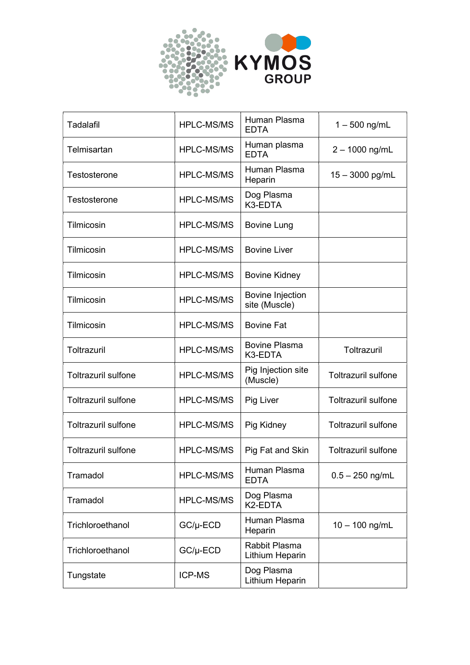

| <b>Tadalafil</b>           | <b>HPLC-MS/MS</b> | Human Plasma<br><b>EDTA</b>       | $1 - 500$ ng/mL            |
|----------------------------|-------------------|-----------------------------------|----------------------------|
| Telmisartan                | <b>HPLC-MS/MS</b> | Human plasma<br><b>EDTA</b>       | 2 - 1000 ng/mL             |
| Testosterone               | <b>HPLC-MS/MS</b> | Human Plasma<br>Heparin           | $15 - 3000$ pg/mL          |
| Testosterone               | <b>HPLC-MS/MS</b> | Dog Plasma<br>K3-EDTA             |                            |
| Tilmicosin                 | <b>HPLC-MS/MS</b> | <b>Bovine Lung</b>                |                            |
| Tilmicosin                 | <b>HPLC-MS/MS</b> | <b>Bovine Liver</b>               |                            |
| Tilmicosin                 | <b>HPLC-MS/MS</b> | <b>Bovine Kidney</b>              |                            |
| Tilmicosin                 | <b>HPLC-MS/MS</b> | Bovine Injection<br>site (Muscle) |                            |
| Tilmicosin                 | <b>HPLC-MS/MS</b> | <b>Bovine Fat</b>                 |                            |
| Toltrazuril                | <b>HPLC-MS/MS</b> | <b>Bovine Plasma</b><br>K3-EDTA   | Toltrazuril                |
| <b>Toltrazuril sulfone</b> | <b>HPLC-MS/MS</b> | Pig Injection site<br>(Muscle)    | <b>Toltrazuril sulfone</b> |
| <b>Toltrazuril sulfone</b> | <b>HPLC-MS/MS</b> | Pig Liver                         | <b>Toltrazuril sulfone</b> |
| <b>Toltrazuril sulfone</b> | <b>HPLC-MS/MS</b> | Pig Kidney                        | <b>Toltrazuril sulfone</b> |
| <b>Toltrazuril sulfone</b> | <b>HPLC-MS/MS</b> | Pig Fat and Skin                  | <b>Toltrazuril sulfone</b> |
| Tramadol                   | <b>HPLC-MS/MS</b> | Human Plasma<br><b>EDTA</b>       | $0.5 - 250$ ng/mL          |
| Tramadol                   | <b>HPLC-MS/MS</b> | Dog Plasma<br>K2-EDTA             |                            |
| Trichloroethanol           | $GC/\mu$ -ECD     | Human Plasma<br>Heparin           | $10 - 100$ ng/mL           |
| Trichloroethanol           | $GC/\mu$ -ECD     | Rabbit Plasma<br>Lithium Heparin  |                            |
| Tungstate                  | <b>ICP-MS</b>     | Dog Plasma<br>Lithium Heparin     |                            |